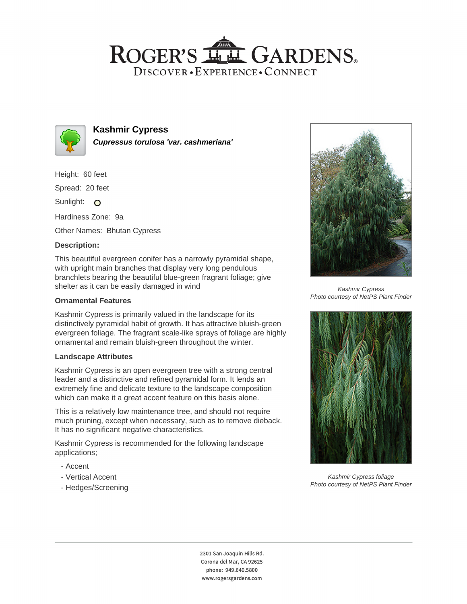## ROGER'S LL GARDENS. DISCOVER · EXPERIENCE · CONNECT



### **Kashmir Cypress Cupressus torulosa 'var. cashmeriana'**

Height: 60 feet

Spread: 20 feet

Sunlight: O

Hardiness Zone: 9a

Other Names: Bhutan Cypress

### **Description:**

This beautiful evergreen conifer has a narrowly pyramidal shape, with upright main branches that display very long pendulous branchlets bearing the beautiful blue-green fragrant foliage; give shelter as it can be easily damaged in wind

#### **Ornamental Features**

Kashmir Cypress is primarily valued in the landscape for its distinctively pyramidal habit of growth. It has attractive bluish-green evergreen foliage. The fragrant scale-like sprays of foliage are highly ornamental and remain bluish-green throughout the winter.

#### **Landscape Attributes**

Kashmir Cypress is an open evergreen tree with a strong central leader and a distinctive and refined pyramidal form. It lends an extremely fine and delicate texture to the landscape composition which can make it a great accent feature on this basis alone.

This is a relatively low maintenance tree, and should not require much pruning, except when necessary, such as to remove dieback. It has no significant negative characteristics.

Kashmir Cypress is recommended for the following landscape applications;

- Accent
- Vertical Accent
- Hedges/Screening



Kashmir Cypress Photo courtesy of NetPS Plant Finder



Kashmir Cypress foliage Photo courtesy of NetPS Plant Finder

2301 San Joaquin Hills Rd. Corona del Mar, CA 92625 phone: 949.640.5800 www.rogersgardens.com